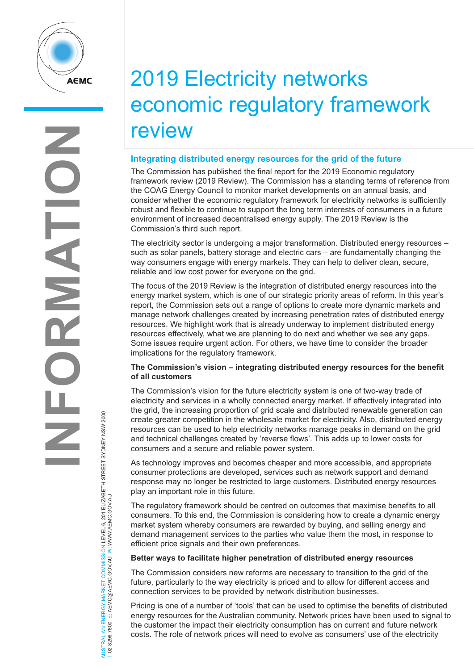

# 2019 Electricity networks economic regulatory framework review

## **Integrating distributed energy resources for the grid of the future**

The Commission has published the final report for the 2019 Economic regulatory framework review (2019 Review). The Commission has a standing terms of reference from the COAG Energy Council to monitor market developments on an annual basis, and consider whether the economic regulatory framework for electricity networks is sufficiently robust and flexible to continue to support the long term interests of consumers in a future environment of increased decentralised energy supply. The 2019 Review is the Commission's third such report.

The electricity sector is undergoing a major transformation. Distributed energy resources – such as solar panels, battery storage and electric cars – are fundamentally changing the way consumers engage with energy markets. They can help to deliver clean, secure, reliable and low cost power for everyone on the grid.

The focus of the 2019 Review is the integration of distributed energy resources into the energy market system, which is one of our strategic priority areas of reform. In this year's report, the Commission sets out a range of options to create more dynamic markets and manage network challenges created by increasing penetration rates of distributed energy resources. We highlight work that is already underway to implement distributed energy resources effectively, what we are planning to do next and whether we see any gaps. Some issues require urgent action. For others, we have time to consider the broader implications for the regulatory framework.

## **The Commission's vision – integrating distributed energy resources for the benefit of all customers**

The Commission's vision for the future electricity system is one of two-way trade of electricity and services in a wholly connected energy market. If effectively integrated into the grid, the increasing proportion of grid scale and distributed renewable generation can create greater competition in the wholesale market for electricity. Also, distributed energy resources can be used to help electricity networks manage peaks in demand on the grid and technical challenges created by 'reverse flows'. This adds up to lower costs for consumers and a secure and reliable power system.

As technology improves and becomes cheaper and more accessible, and appropriate consumer protections are developed, services such as network support and demand response may no longer be restricted to large customers. Distributed energy resources play an important role in this future.

The regulatory framework should be centred on outcomes that maximise benefits to all consumers. To this end, the Commission is considering how to create a dynamic energy market system whereby consumers are rewarded by buying, and selling energy and demand management services to the parties who value them the most, in response to efficient price signals and their own preferences.

#### **Better ways to facilitate higher penetration of distributed energy resources**

The Commission considers new reforms are necessary to transition to the grid of the future, particularly to the way electricity is priced and to allow for different access and connection services to be provided by network distribution businesses.

Pricing is one of a number of 'tools' that can be used to optimise the benefits of distributed energy resources for the Australian community. Network prices have been used to signal to the customer the impact their electricity consumption has on current and future network costs. The role of network prices will need to evolve as consumers' use of the electricity

NERGY MARKET COMMISSION LEVEL 6, 201 ELIZABETH STREET SYDNEY NSW 2000<br>E: AEMC@AEMC.GOVAU W: WWW.AEMC.GOV.AU AUSTRALIAN ENERGY MARKET COMMISSION LEVEL 6, 201 ELIZABETH STREET SYDNEY NSW 2000 T: 02 8296 7800 E: AEMC@AEMC.GOV.AU W: WWW.AEMC.GOV.AU AUSTRALIAN ENERGY MARKET T: 02 8296 7800